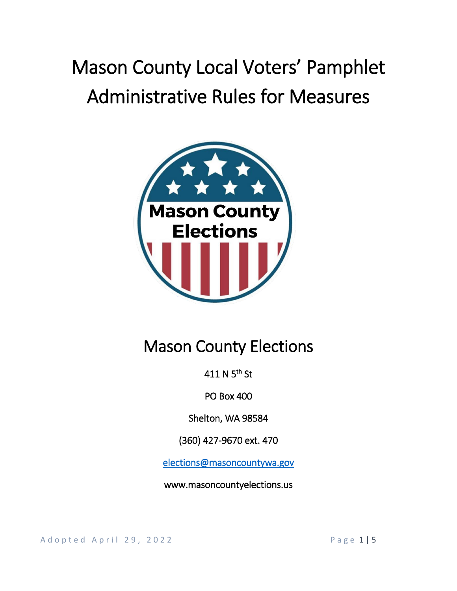# Mason County Local Voters' Pamphlet Administrative Rules for Measures



# Mason County Elections

411 N 5<sup>th</sup> St

PO Box 400

Shelton, WA 98584

(360) 427-9670 ext. 470

[elections@masoncountywa.gov](mailto:elections@masoncountywa.gov) 

www.masoncountyelections.us

A d o p t e d A p r i l 29, 2022 and the control of the P a g e 1 | 5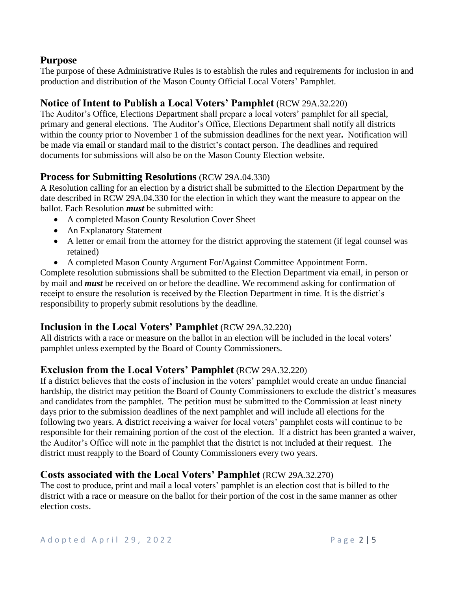## **Purpose**

The purpose of these Administrative Rules is to establish the rules and requirements for inclusion in and production and distribution of the Mason County Official Local Voters' Pamphlet.

# **Notice of Intent to Publish a Local Voters' Pamphlet** (RCW 29A.32.220)

The Auditor's Office, Elections Department shall prepare a local voters' pamphlet for all special, primary and general elections. The Auditor's Office, Elections Department shall notify all districts within the county prior to November 1 of the submission deadlines for the next year**.** Notification will be made via email or standard mail to the district's contact person. The deadlines and required documents for submissions will also be on the Mason County Election website.

### **Process for Submitting Resolutions** (RCW 29A.04.330)

A Resolution calling for an election by a district shall be submitted to the Election Department by the date described in RCW 29A.04.330 for the election in which they want the measure to appear on the ballot. Each Resolution *must* be submitted with:

- A completed Mason County Resolution Cover Sheet
- An Explanatory Statement
- A letter or email from the attorney for the district approving the statement (if legal counsel was retained)
- A completed Mason County Argument For/Against Committee Appointment Form.

Complete resolution submissions shall be submitted to the Election Department via email, in person or by mail and *must* be received on or before the deadline. We recommend asking for confirmation of receipt to ensure the resolution is received by the Election Department in time. It is the district's responsibility to properly submit resolutions by the deadline.

# **Inclusion in the Local Voters' Pamphlet** (RCW 29A.32.220)

All districts with a race or measure on the ballot in an election will be included in the local voters' pamphlet unless exempted by the Board of County Commissioners.

# **Exclusion from the Local Voters' Pamphlet** (RCW 29A.32.220)

If a district believes that the costs of inclusion in the voters' pamphlet would create an undue financial hardship, the district may petition the Board of County Commissioners to exclude the district's measures and candidates from the pamphlet. The petition must be submitted to the Commission at least ninety days prior to the submission deadlines of the next pamphlet and will include all elections for the following two years. A district receiving a waiver for local voters' pamphlet costs will continue to be responsible for their remaining portion of the cost of the election. If a district has been granted a waiver, the Auditor's Office will note in the pamphlet that the district is not included at their request. The district must reapply to the Board of County Commissioners every two years.

#### **Costs associated with the Local Voters' Pamphlet** (RCW 29A.32.270)

The cost to produce, print and mail a local voters' pamphlet is an election cost that is billed to the district with a race or measure on the ballot for their portion of the cost in the same manner as other election costs.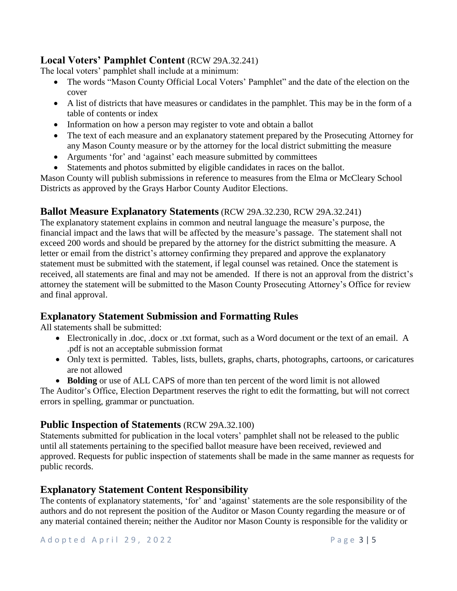## **Local Voters' Pamphlet Content** (RCW 29A.32.241)

The local voters' pamphlet shall include at a minimum:

- The words "Mason County Official Local Voters' Pamphlet" and the date of the election on the cover
- A list of districts that have measures or candidates in the pamphlet. This may be in the form of a table of contents or index
- Information on how a person may register to vote and obtain a ballot
- The text of each measure and an explanatory statement prepared by the Prosecuting Attorney for any Mason County measure or by the attorney for the local district submitting the measure
- Arguments 'for' and 'against' each measure submitted by committees
- Statements and photos submitted by eligible candidates in races on the ballot.

Mason County will publish submissions in reference to measures from the Elma or McCleary School Districts as approved by the Grays Harbor County Auditor Elections.

# **Ballot Measure Explanatory Statements** (RCW 29A.32.230, RCW 29A.32.241)

The explanatory statement explains in common and neutral language the measure's purpose, the financial impact and the laws that will be affected by the measure's passage. The statement shall not exceed 200 words and should be prepared by the attorney for the district submitting the measure. A letter or email from the district's attorney confirming they prepared and approve the explanatory statement must be submitted with the statement, if legal counsel was retained. Once the statement is received, all statements are final and may not be amended. If there is not an approval from the district's attorney the statement will be submitted to the Mason County Prosecuting Attorney's Office for review and final approval.

# **Explanatory Statement Submission and Formatting Rules**

All statements shall be submitted:

- Electronically in .doc, .docx or .txt format, such as a Word document or the text of an email. A .pdf is not an acceptable submission format
- Only text is permitted. Tables, lists, bullets, graphs, charts, photographs, cartoons, or caricatures are not allowed
- **Bolding** or use of ALL CAPS of more than ten percent of the word limit is not allowed

The Auditor's Office, Election Department reserves the right to edit the formatting, but will not correct errors in spelling, grammar or punctuation.

# **Public Inspection of Statements** (RCW 29A.32.100)

Statements submitted for publication in the local voters' pamphlet shall not be released to the public until all statements pertaining to the specified ballot measure have been received, reviewed and approved. Requests for public inspection of statements shall be made in the same manner as requests for public records.

# **Explanatory Statement Content Responsibility**

The contents of explanatory statements, 'for' and 'against' statements are the sole responsibility of the authors and do not represent the position of the Auditor or Mason County regarding the measure or of any material contained therein; neither the Auditor nor Mason County is responsible for the validity or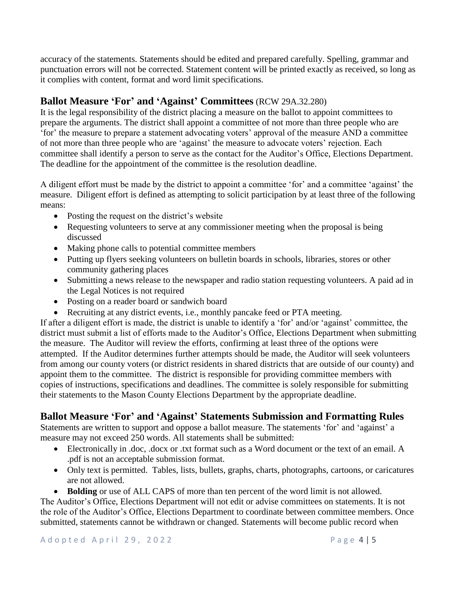accuracy of the statements. Statements should be edited and prepared carefully. Spelling, grammar and punctuation errors will not be corrected. Statement content will be printed exactly as received, so long as it complies with content, format and word limit specifications.

# **Ballot Measure 'For' and 'Against' Committees** (RCW 29A.32.280)

It is the legal responsibility of the district placing a measure on the ballot to appoint committees to prepare the arguments. The district shall appoint a committee of not more than three people who are 'for' the measure to prepare a statement advocating voters' approval of the measure AND a committee of not more than three people who are 'against' the measure to advocate voters' rejection. Each committee shall identify a person to serve as the contact for the Auditor's Office, Elections Department. The deadline for the appointment of the committee is the resolution deadline.

A diligent effort must be made by the district to appoint a committee 'for' and a committee 'against' the measure. Diligent effort is defined as attempting to solicit participation by at least three of the following means:

- Posting the request on the district's website
- Requesting volunteers to serve at any commissioner meeting when the proposal is being discussed
- Making phone calls to potential committee members
- Putting up flyers seeking volunteers on bulletin boards in schools, libraries, stores or other community gathering places
- Submitting a news release to the newspaper and radio station requesting volunteers. A paid ad in the Legal Notices is not required
- Posting on a reader board or sandwich board
- Recruiting at any district events, i.e., monthly pancake feed or PTA meeting.

If after a diligent effort is made, the district is unable to identify a 'for' and/or 'against' committee, the district must submit a list of efforts made to the Auditor's Office, Elections Department when submitting the measure. The Auditor will review the efforts, confirming at least three of the options were attempted. If the Auditor determines further attempts should be made, the Auditor will seek volunteers from among our county voters (or district residents in shared districts that are outside of our county) and appoint them to the committee. The district is responsible for providing committee members with copies of instructions, specifications and deadlines. The committee is solely responsible for submitting their statements to the Mason County Elections Department by the appropriate deadline.

# **Ballot Measure 'For' and 'Against' Statements Submission and Formatting Rules**

Statements are written to support and oppose a ballot measure. The statements 'for' and 'against' a measure may not exceed 250 words. All statements shall be submitted:

- Electronically in .doc, .docx or .txt format such as a Word document or the text of an email. A .pdf is not an acceptable submission format.
- Only text is permitted. Tables, lists, bullets, graphs, charts, photographs, cartoons, or caricatures are not allowed.
- **Bolding** or use of ALL CAPS of more than ten percent of the word limit is not allowed.

The Auditor's Office, Elections Department will not edit or advise committees on statements. It is not the role of the Auditor's Office, Elections Department to coordinate between committee members. Once submitted, statements cannot be withdrawn or changed. Statements will become public record when